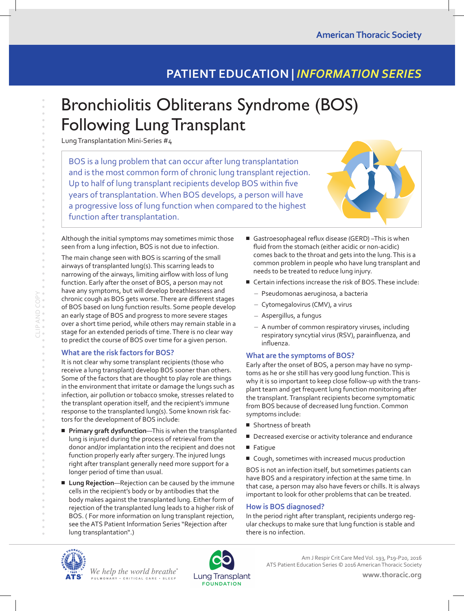## **PATIENT EDUCATION |** *INFORMATION SERIES*

# Bronchiolitis Obliterans Syndrome (BOS) Following Lung Transplant

Lung Transplantation Mini-Series #4

BOS is a lung problem that can occur after lung transplantation and is the most common form of chronic lung transplant rejection. Up to half of lung transplant recipients develop BOS within five years of transplantation. When BOS develops, a person will have a progressive loss of lung function when compared to the highest function after transplantation.



Although the initial symptoms may sometimes mimic those seen from a lung infection, BOS is not due to infection.

The main change seen with BOS is scarring of the small airways of transplanted lung(s). This scarring leads to narrowing of the airways, limiting airflow with loss of lung function. Early after the onset of BOS, a person may not have any symptoms, but will develop breathlessness and chronic cough as BOS gets worse. There are different stages of BOS based on lung function results. Some people develop an early stage of BOS and progress to more severe stages over a short time period, while others may remain stable in a stage for an extended periods of time. There is no clear way to predict the course of BOS over time for a given person.

### **What are the risk factors for BOS?**

It is not clear why some transplant recipients (those who receive a lung transplant) develop BOS sooner than others. Some of the factors that are thought to play role are things in the environment that irritate or damage the lungs such as infection, air pollution or tobacco smoke, stresses related to the transplant operation itself, and the recipient's immune response to the transplanted lung(s). Some known risk factors for the development of BOS include:

■ **Primary graft dysfunction**—This is when the transplanted lung is injured during the process of retrieval from the donor and/or implantation into the recipient and does not function properly early after surgery. The injured lungs right after transplant generally need more support for a longer period of time than usual.

■ **Lung Rejection**—Rejection can be caused by the immune cells in the recipient's body or by antibodies that the body makes against the transplanted lung. Either form of rejection of the transplanted lung leads to a higher risk of BOS. ( For more information on lung transplant rejection, see the ATS Patient Information Series "Rejection after lung transplantation".)

- Gastroesophageal reflux disease (GERD) -This is when fluid from the stomach (either acidic or non-acidic) comes back to the throat and gets into the lung. This is a common problem in people who have lung transplant and needs to be treated to reduce lung injury.
- Certain infections increase the risk of BOS. These include:
	- Pseudomonas aeruginosa, a bacteria
	- Cytomegalovirus (CMV), a virus
	- Aspergillus, a fungus
	- A number of common respiratory viruses, including respiratory syncytial virus (RSV), parainfluenza, and influenza.

## **What are the symptoms of BOS?**

Early after the onset of BOS, a person may have no symptoms as he or she still has very good lung function. This is why it is so important to keep close follow-up with the transplant team and get frequent lung function monitoring after the transplant. Transplant recipients become symptomatic from BOS because of decreased lung function. Common symptoms include:

- Shortness of breath
- Decreased exercise or activity tolerance and endurance
- Fatique
- Cough, sometimes with increased mucus production

BOS is not an infection itself, but sometimes patients can have BOS and a respiratory infection at the same time. In that case, a person may also have fevers or chills. It is always important to look for other problems that can be treated.

## **How is BOS diagnosed?**

In the period right after transplant, recipients undergo regular checkups to make sure that lung function is stable and there is no infection.



We help the world breathe<sup>®</sup> PULMONARY · CRITICAL CARE · SLEEP



**www.thoracic.org** Am J Respir Crit Care Med Vol. 193, P19-P20, 2016 ATS Patient Education Series © 2016 American Thoracic Society

AND COPY CLIP AND COPY